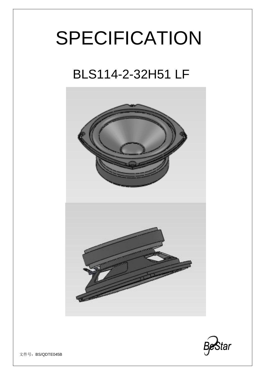# SPECIFICATION

# BLS114-2-32H51 LF





文件号: BS/QDTE045B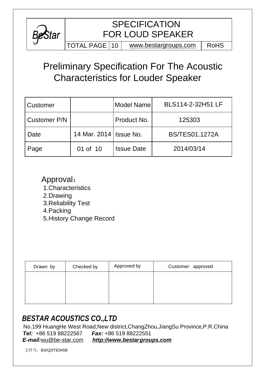

## **SPECIFICATION** FOR LOUD SPEAKER

TOTAL PAGE  $|10|$  [www.bestargroups.com](http://www.bestargroups.com)  $|$  RoHS

# Preliminary Specification For The Acoustic Characteristics for Louder Speaker

| Customer     |                          | Model Name        | BLS114-2-32H51 LF     |
|--------------|--------------------------|-------------------|-----------------------|
| Customer P/N |                          | Product No.       | 125303                |
| Date         | 14 Mar. 2014   Issue No. |                   | <b>BS/TES01.1272A</b> |
| Page         | 01 of 10                 | <b>Issue Date</b> | 2014/03/14            |

Approval: 1.Characteristics 2.Drawing 3.Reliability Test 4.Packing 5.History Change Record

| Drawn by | Checked by | Approved by | Customer approved |
|----------|------------|-------------|-------------------|
|          |            |             |                   |
|          |            |             |                   |
|          |            |             |                   |

### *BESTAR ACOUSTICS CO.,LTD*

 No.199 HuangHe West Road,New district,ChangZhou,JiangSu Province,P.R.China *Tel:* +86 519 88222567 *Fax:* +86 519 88222551

*E-mail:*[wu@be-star.com](mailto:wu@be-star.com) *<http://www.bestargroups.com>*

文件号:BS/QDTE045B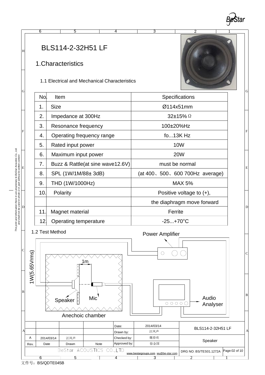

2 1

 $\overline{D}$ 

E

F

G

H



### 1.Characteristics

1.1 Electrical and Mechanical Characteristics

6 5 4 3





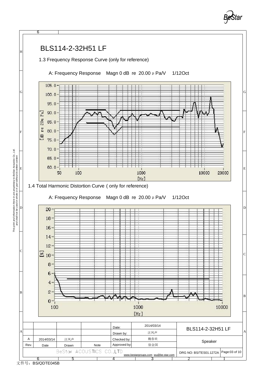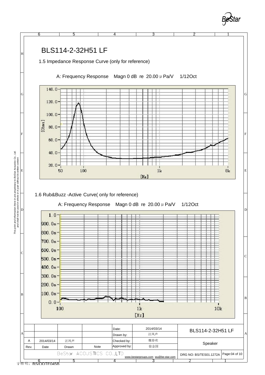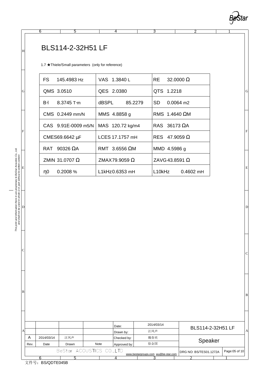

2 1

B

C

 $\vert$  D

E

F

G

### BLS114-2-32H51 LF

1.7 ★Thiele/Small parameters (only for reference)

6 5 4 3

| FS 145.4983 Hz      | VAS 1.3840 L     | RE 32,0000 W                    |
|---------------------|------------------|---------------------------------|
| QMS 3.0510          | QES 2.0380       | QTS 1.2218                      |
| $Bx = 8.3745$ Txm   | dBSPL 85.2279    | SD -<br>$0.0064$ m <sup>2</sup> |
| CMS 0.2449 mm/N     | MMS 4.8858 g     | RMS 1.4640 VM                   |
| CAS 9.91E-0009 m5/N | MAS 120.72 kg/m4 | RAS 36173 WA                    |
| CMES69.6642 mF      | LCES 17.1757 mH  | RES 47,9059 W                   |
| RAT 90326 WA        | RMT 3.6556 VM    | MMD 4.5986 g                    |
| ZMIN 31.0707 W      | ZMAX79,9059 W    | ZAVG 43.8591 W                  |
| h0 l<br>0.2008%     | L1kHz0.6353 mH   | L10kHz 0.4602 mH                |
|                     |                  |                                 |



F

G

H

B

C

|    |                        |              |                           |      | Date:        | 2014/03/14                          | BLS114-2-32H51 LF      |               |   |
|----|------------------------|--------------|---------------------------|------|--------------|-------------------------------------|------------------------|---------------|---|
| AI |                        |              |                           |      | Drawn by:    | 汪凤声                                 |                        |               | А |
|    | A                      | 2014/03/14   | 汪凤声                       |      | Checked by:  | 魏春欢                                 | Speaker                |               |   |
|    | Rev.                   | Date         | Drawn                     | Note | Approved by: | 徐金国                                 |                        |               |   |
|    |                        |              | BeStar ACOUSTICS CO., LTD |      |              | www.bestargroups.com wu@be-star.com | DRG NO: BS/TES01.1272A | Page:05 of 10 |   |
|    |                        |              |                           |      |              |                                     |                        |               |   |
|    | $\rightarrow \mu \Box$ | DO CONTEQUED |                           |      |              |                                     |                        |               |   |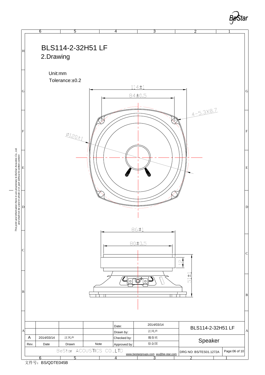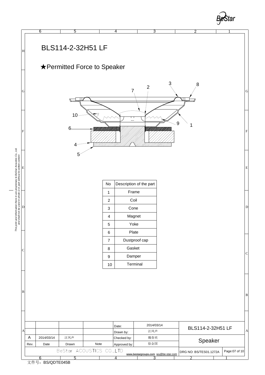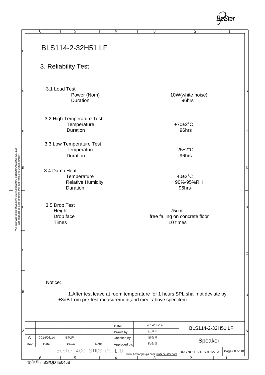

| This print and information there in are proprietary to BeStar Acoustics Co., Ltd.<br>and shall not be used in whole or in part without its writen content<br>Duration<br>96hrs<br>3.4 Damp Heat<br>$40\pm2\degree$ C<br>Temperature |  |
|-------------------------------------------------------------------------------------------------------------------------------------------------------------------------------------------------------------------------------------|--|
| <b>Relative Humidity</b><br>90%-95%RH                                                                                                                                                                                               |  |
|                                                                                                                                                                                                                                     |  |
|                                                                                                                                                                                                                                     |  |
| F<br>3.3 Low Temperature Test<br>$-25\pm2^{\circ}C$<br>Temperature                                                                                                                                                                  |  |
| Power (Nom)<br>10W(white noise)<br>Duration<br>96hrs<br>3.2 High Temperature Test<br>Temperature<br>$+70\pm2\degree C$<br>Duration<br>96hrs                                                                                         |  |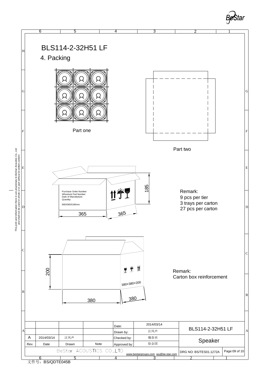